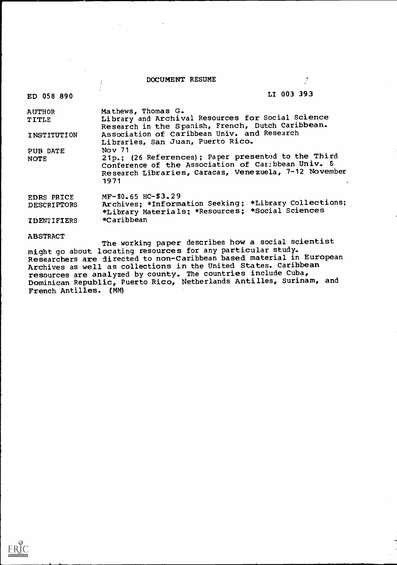| DOCUMENT RESUME |  |  |
|-----------------|--|--|
|-----------------|--|--|

 $\overline{1}$ Ÿ

# ED 058 890 LI 003 393

 $\mathcal{L}$ 

| <b>AUTHOR</b>      | Mathews, Thomas G.                                                                                                                                                         |  |
|--------------------|----------------------------------------------------------------------------------------------------------------------------------------------------------------------------|--|
| TITLE              | Library and Archival Resources for Social Science<br>Research in the Spanish, French, Dutch Caribbean.                                                                     |  |
| INSTITUTION        | Association of Caribbean Univ. and Research<br>Libraries, San Juan, Puerto Rico.                                                                                           |  |
| PUB DATE           | Nov 71                                                                                                                                                                     |  |
| <b>NOTE</b>        | 21p.; (26 References); Paper presented to the Third<br>Conference of the Association of Caribbean Univ. &<br>Research Libraries, Caracas, Venezuela, 7-12 November<br>1971 |  |
| EDRS PRICE         | $MF-$0.65$ HC-\$3.29                                                                                                                                                       |  |
| <b>DESCRIPTORS</b> | Archives: *Information Seeking; *Library Collections;<br>*Library Materials; *Resources; *Social Sciences                                                                  |  |
| <b>IDENTIFIERS</b> | *Caribbean                                                                                                                                                                 |  |
| <b>ABSTRACT</b>    |                                                                                                                                                                            |  |
|                    | The working paper describes how a social scientist<br>might go about locating resources for any particular study.                                                          |  |

might go about locating resources for any particular study. Researchers are directed to non-Caribbean based material in European Archives as well as collections in the United States. Caribbean resources are analyzed by county. The countries include Cuba, Dominican Republic, Puerto Rico, Netherlands Antilles, Surinam, and French Antilles. (MM)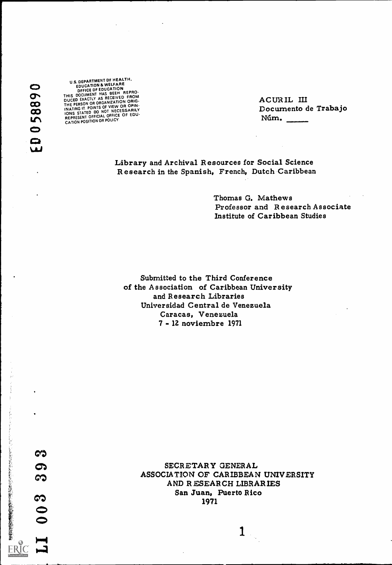058890  $\bullet$ سا

**CO** U.S. DEPARTMENT DF HEALTH.<br>FRUCATION & WELFARE DFFICE DF EDUCATION<br>THIS DOCUMENT HAS BEEH REPRO-<br>A BECEIVED FROM THE PERSON DUCED EXACTLY AS RECEIVED FROM ORIG-<br>
THE PERSON OR ORGANIZATION ORIG-<br>
INATING IT. POINTS OF VIEW OR OPIN-<br>
IONS STATED DO NOT NECESSARILY<br>
REPRESENT OFFICIAL OFFICE OF EDU-<br>
CATION POSITION OR POLICY

ACUR IL III Documento de Trabajo Ntim.

Library and Archival Resources for Social Science Research in the Spanish, French, Dutch Caribbean

> Thomas G. Mathews Professor and Research Associate Institute of Caribbean Studies

Submitted to the Third Conference of the Association of Caribbean University and Research Libraries Universidad Central de Venezuela Caracas, Venezuela - 12 noviembre 1971

これに、それに、このことによるからのことに、これは、その時には、その時に、「その時の時代の「大きな」ということに、「その後には、「その後には、「その後に、「その後に、「その後に、「その後に、「その後に

ERIC

SECRETARY GENERAL ASSOCIATION OF CARIBBEAN UNIVERSITY AND R ESEAR CH LIBRARIES San Juan, Puerto Rico 1971

 $\mathbf{1}$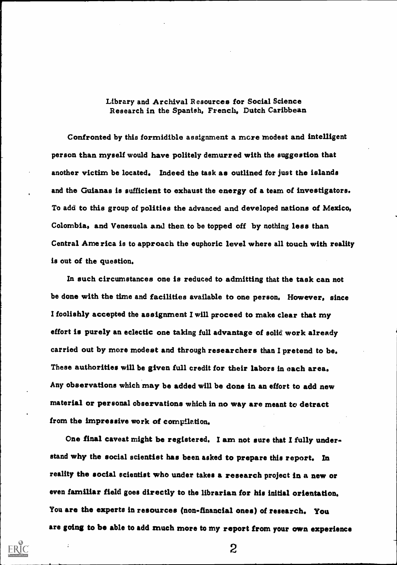## Library and Archival Resources for Social Science Research in the Spanish, French, Dutch Caribbean

Confronted by this formidible assignment a more modest and intelligent person than myself would have politely demurred with the suggestion that another victim be located. Indeed the task as outlined for just the islands and the Guianas is sufficient to exhaust the energy of a team of investigators. To add to this group of polities the advanced and developed nations of Mexico, Colombia, and Venezuela and then, to be topped off by nothing less than Central America is to approach the euphoric level where all touch with reality is out of the question.

In such circumstances one is reduced to admitting that the task can not be done with the time and facilities available to one person. However, since I foolishly accepted the assignment I will proceed to make clear that my effort is purely an eclectic one taking full advantage of solid, work already carried out by more modest and through researchers than I pretend to be. These authorities will be given full credit for their labors in each area. Any observations which may be added will be done in an effort to add new material or personal observations which in no way are meant to detract from the impressive work of compilation.

One final caveat might be registered. I am not sure that I fully understand why the social scientist has been asked to prepare this report. In reality the social scientist who under takes a research project in a new or even familiar field goes directly to the librarian for his initial orientation. You are the experts in resources (non-financial ones) of research. You are going to be able to add much more to my report from your own experience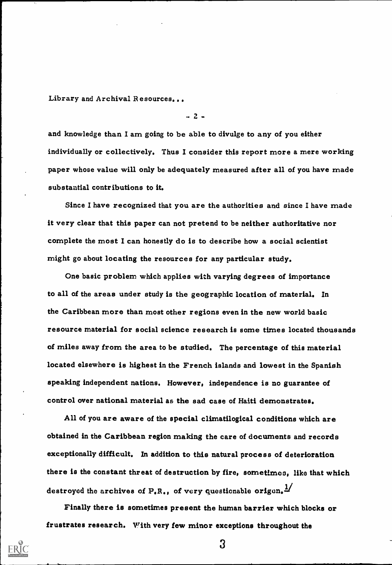$- 2 -$ 

and knowledge than I am going to be able to divulge to any of you either individually or collectively. Thus I consider this report more a mere working paper whose value will only be adequately measured after all of you have made substantial contributions to it.

Since I have recognized that you are the authorities and since I have made it very clear that this paper can not pretend to be neither authoritative nor complete the most I can honestly do is to describe how a social scientist might go about locating the resources for any particular study.

One basic problem which applies with varying degrees of importance to all of the areas under study is the geographic location of material. In the Caribbean more than most other regions even in the new world basic resource material for social science research is some times located thousands of miles away from the area to be studied. The percentage of this material located elsewhere is highest in the French islands and lowest in the Spanish speaking independent nations. However, independence is no guarantee of control over national material as the sad case of Haiti demonstrates.

All of you are aware of the special clirnatilogical conditions which are obtained in the Caribbean region making the care of documents and records exceptionally difficult. In addition to this natural process of deterioration there is the constant threat of destruction by fire, sometimes, like that which destroyed the archives of  $P_{\bullet}R_{\bullet}$ , of very questionable origen.

Finally there is sometimes present the human barrier which blocks or frustrates research. With very few minor exceptions throughout the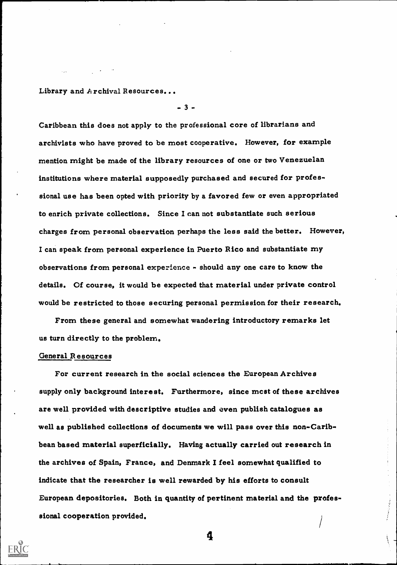$-3 -$ 

Caribbean this does not apply to the professional core of librarians and archivists who have proved to be most cooperative. However, for example mention might be made of the library resources of one or two Venezuelan institutions where material supposedly purchased and secured for professional use has been opted with priority by a favored few or even appropriated to enrich private collections. Since I can not substantiate such serious . charges from personal observation perhaps the less said the better. However, I can speak from personal experience in Puerto Rico and substantiate my observations from personal experience - should any one care to know the details. Of course, it would be expected that material under private control would be restricted to those securing personal permission for their research.

From these general and somewhat wandering introductory remarks let us turn directly to the problem.

#### General R esources

For current research in the social sciences the European Archives supply only background interest. Furthermore, since mcst of these archives are well provided with descriptive studies and even publish catalogues as well as published collections of documents we will pass over this non-Caribbean based material superficially. Having actually carried out research in the archives of Spain, France, and Denmark I feel somewhat qualified to indicate that the researcher is well rewarded by his efforts to consult European depositories. Both in quantity of pertinent material and the professional cooperation provided. /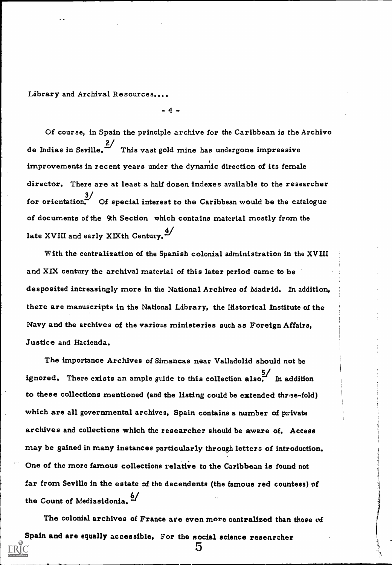$-4 -$ 

Of course, in Spain the principle archive for the Caribbean is the Archivo de Indias in Seville.  $\frac{2}{\pi}$  This vast gold mine has undergone impressive improvements in recent years under the dynamic direction of its female director. There are at least a half dozen indexes available to the researcher  $\frac{3}{5}$  of special interest to the Caribbean would be the catalogue of documents of the 9th Section which contains material mostly from the late XVIII and early XIXth Century.  $\frac{4}{3}$ 

With the centralization of the Spanish colonial administration in the XVIII and XLX century the archival material of this later period came to be desposited increasingly more in the National Archives of Madrid. In addition, there are manuscripts in the National Library, the Historical Institute of the Navy and the archives of the various ministeries such as Foreign Affairs, Justice and Hacienda.

The importance Archives of Simancas near Valladolid should not be ignored. There exists an ample guide to this collection also. In addition to these collections mentioned (and the listing could be extended three-fold) which are all governmental archives, Spain contains a number of private archives and collections which the researcher should be aware of. Access may be gained in many instances particularly through letters of introduction. One of the more famous collections relative to the Caribbean is found not far from Seville in the estate of the decendents (the famous red countess) of the Count of Mediasidonia.<sup>6/</sup>

The colonial archives of France are even more centralized than those of Spain and are equally accessible. For the social science researcher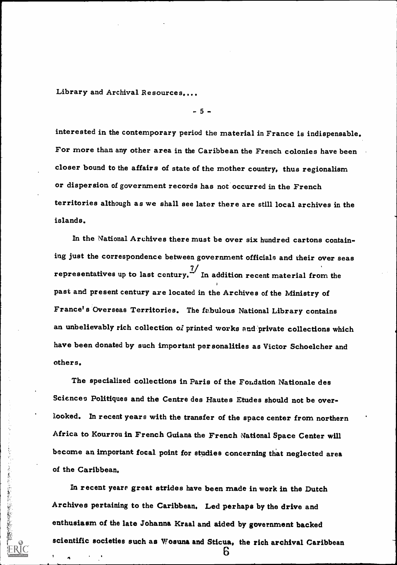- 5 -

interested in the contemporary period the material in France is indispensable. For more than any other area in the Caribbean the French colonies have been closer bound to the affairs of state of the mother country, thus regionalism or dispersion of government records has not occurred in the French territories although as we shall see later there are still local archives in the islands.

In the National Archives there must be over six hundred cartons containing just the correspondence between government officials and their over seas representatives up to last century.  $\frac{7}{1}$  In addition recent material from the past and present century are located in the Archives of the Ministry of France's Overseas Territories. The fabulous National Library contains an unbelievably rich collection of printed works and private collections which have been donated by such important per sonalities as Victor Schoelcher and others.

The specialized collections in Paris of the Fondation Nationale des Sciences Politiques and the Centre des Hautes Etudes should not be overlooked. In recent years with the transfer of the space center from northern Africa to Kourrou in French Guiana the French National Space Center will become an important focal point for studies concerning that neglected area of the Caribbean.

In recent yeare great strides have been made in work in the Dutch Archives pertaining to the Caribbean, Led perhaps by the drive and enthusiasm of the late Johanna Kraal and aided by government backed scientific societies such as Wosuna and Sticua, the rich archival Caribbean

ĥ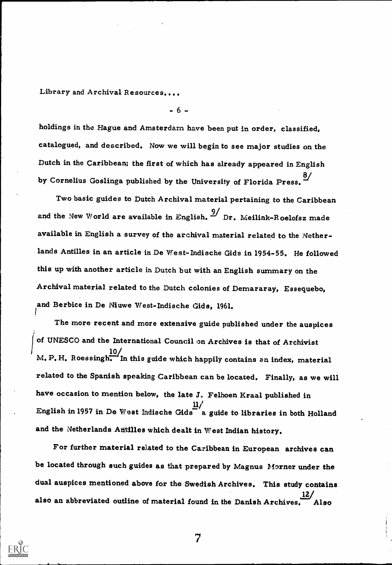$- 6 -$ 

holdings in the Hague and Amsterdam have been put in order, classified, catalogued, and described. Now we will begin to see major studies on the Dutch in the Caribbean; the first of which has already appeared in English by Cornelius Goslinga published by the University of Florida Press.  $2/$ 

Two basic guides to Dutch Archival material pertaining to the Caribbean and the New World are available in English.  $\frac{9}{2}$  Dr. Meilink-Roelofsz made available in English a survey of the archival material related to the Netherlands Antilles in an article in De West-Indische Gids in 1954-55. He followed this up with another article in Dutch but with an English summary on the Archival material related to the Dutch colonies of Demararay, Essequebo, and Berbice in De Niuwe West-Indische Gids, 1961.

The more recent and more extensive guide published under the auspices of UNESCO and the International Council on Archives is that of Archivist  $10/$  M. P. H. Roessingh. In this guide which happily contains an index, material related to the Spanish speaking Caribbean can be located. Finally, as we will have occasion to mention below, the late 3, Felhoen Kraal published in  $11/$ English in 1957 in De West Indische Gids  $a$  a guide to libraries in both Holland and the Netherlands Antilles which dealt in West Indian history.

For further material related to the Caribbean in European archives can be located through such guides as that prepared by Magnus Morner under the dual auspices mentioned above for the Swedish Archives. This study contains also an abbreviated outline of material found in the Danish Archives. Also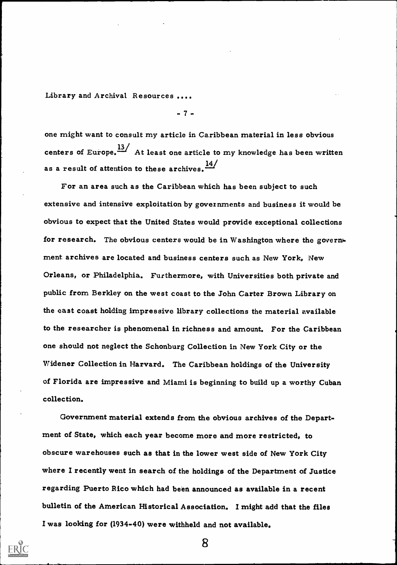$-7 -$ 

one might want to consult my article in Caribbean material in less obvious centers of Europe. $\frac{13}{4}$  At least one article to my knowledge has been written as a result of attention to these archives.  $\frac{14}{1}$ 

For an area such as the Caribbean which has been subject to such extensive and intensive exploitation by governments and business it would be obvious to expect that the United States would provide exceptional collections for research. The obvious centers would be in Washington where the government archives are located and business centers such as New York, New Orleans, or Philadelphia. Furthermore, with Universities both private and public from Berkley on the west coast to the John Carter Brown Library on the east coast holding impressive library collections the material available to the researcher is phenomenal in richness and amount. For the Caribbean one should not neglect the Schonburg Collection in New York City or the Widener Collection in Harvard, The Caribbean holdings of the University of Florida are impressive and Miami is beginning to build up a worthy Cuban collection.

Government material extends from the obvious archives of the Department of State, which each year become more and more restricted, to obscure warehouses such as that in the lower west side of New York City where I recently went in search of the holdings of the Department of Justice regarding Puerto Rico which had been announced as available in a recent bulletin of the American Historical Association. I might add that the files I was looking for (1934-40) were withheld and not available.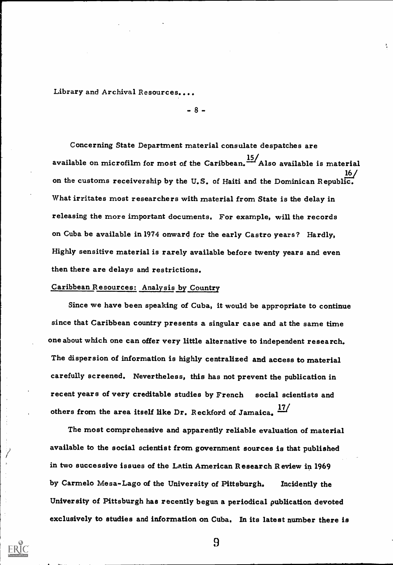$- 8 -$ 

Concerning State Department material consulate despatches are available on microfilm for most of the Caribbean.  $\frac{15}{100}$  Also available is material on the customs receivership by the U.S. of Haiti and the Dominican Republic. What irritates most researchers with material from State is the delay in releasing the more important documents. For example, will the records on Cuba be available in 1974 onward for the early Castro years? Hardly, Highly sensitive material is rarely available before twenty years and even then there are delays and restrictions.

# Caribbean Resources: Analysis by Country

Since we have been speaking of Cuba, it would be appropriate to continue since that Caribbean country presents a singular case and at the same time one about which one can offer very little alternative to independent research. The dispersion of information is highly centralized and access to material carefully screened. Nevertheless, this has not prevent the publication in recent years of very creditable studies by French social scientists and others from the area itself like Dr. Reckford of Jamaica.  $\frac{17}{17}$ 

The most comprehensive and apparently reliable evaluation of material available to the social scientist from government sources is that published in two successive issues of the Latin American Research Review in 1969 by Carmelo Mesa-Lago of the University of Pittsburgh. Incidently the University of Pittsburgh has recently begun a periodical publication devoted exclusively to studies and information on Cuba. In its latest number there is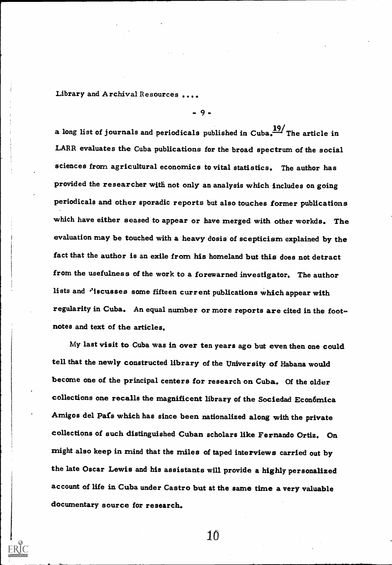a long list of journals and periodicals published in Cuba.  $\frac{19}{100}$  The article in LARR evaluates the Cuba publications for the broad spectrum of the social sciences from agricultural economics to vital statistics. The author has provided the researcher with not only an analysis which includes on going periodicals and other sporadic reports but also touches former publications which have either seased to appear or have merged with other workds. The evaluation may be touched with a heavy dosis of scepticism explained by the fact that the author is an exile from his homeland but this does not detract from the usefulness of the work to a forewarned investigator. The author lists and *'iscusses* some fifteen current publications which appear with regularity in Cuba. An equal number or more reports are cited in the footnotes and text of the articles.

- 9 -

My last visit to Cuba was in over ten years ago but even then one could tell that the newly constructed library of the University of Habana would become one of the principal centers for research on Cuba. Of the older collections one recalls the magnificent library of the Sociedad Econ6mica Amigos del Pais which has since been nationalized along with the private collections of such distinguished Cuban scholars like Fernando Ortiz. On might also keep in mind that the miles of taped interviews carried out by the late Oscar Lewis and his assistants will provide a highly personalized account of life in Cuba under Castro but at the same time a very valuable documentary source for research.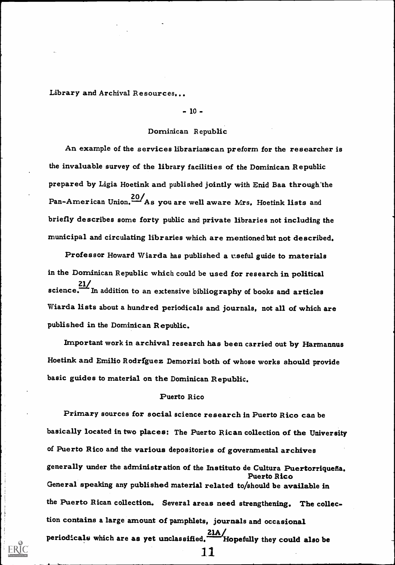## $-10 -$

# Dominican Republic

An example of the services librarianscan preform for the researcher is the invaluable survey of the library facilities of the Dominican Republic prepared by Ligia Hoetink and published jointly with Enid Baa through'the Pan-American Union. <sup>20</sup>/As you are well aware Mrs. Hoetink lists and briefly describes some forty public and private libraries not including the municipal and circulating libraries which are mentioned but not described.

Professor Howard Wiarda has published a cseful guide to materials in the Dominican Republic which could be used for research in political science. In addition to an extensive bibliography of books and articles Wiarda lists about a hundred periodicals and journals, not all of which are published in the Dominican Republic.

Important work in archival research has been carried out by Harmannus Hoetink and Emilio Rodrfguez Demorizi both of whose works should provide basic guides to material on the Dominican Republic.

### Puerto Rico

Primary sources for social science research in Puerto Rico can be basically located in two places: The Puerto Rican collection of the University of Puerto Rico and the various depositories of governmental archives generally under the administration of the Instituto de Cultura Puertorriquefia. Puerto Rico General speaking any published material related to/should be available in the Puerto Rican collection. Several areas need strengthening. The collection contains a large amount of pamphlets, journals and occasional periodicals which are as yet unclassified.  $\frac{21A}{\sqrt{10}}$  Hopefully they could also be 11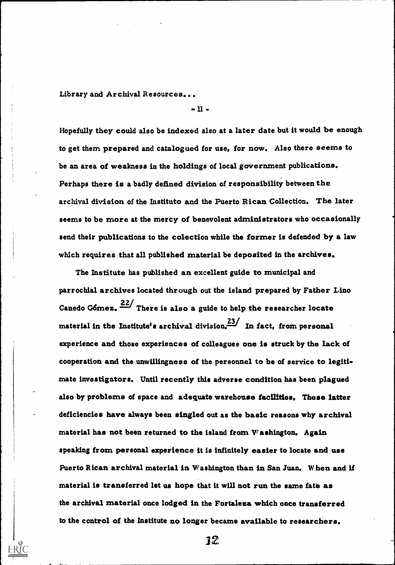$-11-$ 

Hopefully they could also be indexed also at a later date but it would be enough to get them prepared and catalogued for use, for now. Also there seems to be an area of weakness in the holdings of local government publications. Perhaps there is a badly defined division of responsibility between the archival division of the Instituto and the Puerto Rican Collection. The later seems to be more at the mercy of benevolent administrators who occasionally send their publications to the colection while the former is defended by a law which requires that all published material be deposited in the archives.

The Institute has published an excellent guide to municipal and parrochial archives located through out the island prepared by Father Lino Canedo Gómez.  $\frac{22}{100}$  There is also a guide to help the researcher locate material in the Institute's archival division.<sup>23</sup>/ In fact, from personal experience and those experiences of colleagues one is struck by the lack of cooperation and the unwillingness of the personnel to be of service to legitimate investigators, Until recently this adverse condition has been plagued also by problems of space and adequate warehouse facilities. These latter deficiencies have always been singled out as the basic reasons why archival material has not been returned to the island from  $W$  ashington. Again speaking from personal experience it is infinitely easier to locate and use Puerto Rican archival material in Washington than in San Juan. When and if material is transferred let us hope that it will not run the same fate as the archival material once lodged in the Fortaleza which once transferred to the control of the Institute no longer became available to researchers.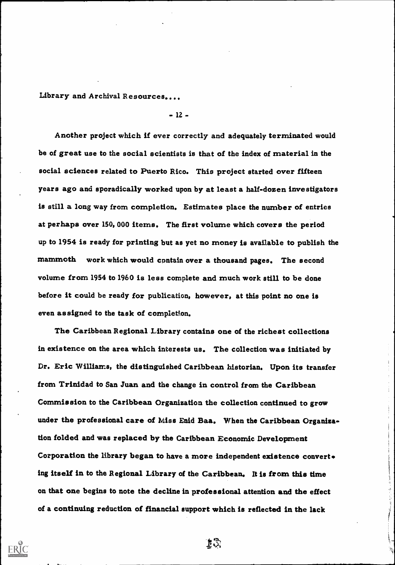- 12 -

Another project which if ever correctly and adequately terminated would be of great use to the social scientists is that of the index of material in the social sciences related to Puerto Rico. This project started over fifteen years ago and sporadically worked upon by at least a half-dozen investigators is still a long way from completion. Estimates place the number of entries at perhaps over 150, 000 items. The first volume which covers the period up to 1954 is ready for printing but as yet no money is available to publish the mammoth work which would contain over a thousand pages. The second volume from 1954 to 1960 is less complete and much work still to be done before it could be ready for publication, however, at this point no one is even assigned to the task of completion.

The Caribbean Regional Library contains one of the richest collections in existence on the area which interests us. The collection was initiated by Dr. Eric Williams, the distinguished Caribbean historian. Upon its transfer from Trinidad to San Juan and the change in control from the Caribbean Commission to the Caribbean Organization the collection continued to grow under the professional care of Miss Enid Baa. When the Caribbean Organization folded and was replaced by the Caribbean Economic Development Corporation the library began to have a more independent existence convert ing itself in to the Regional Library of the Caribbean. It is from this time on that one begins to note the decline in professional attention and the effect of a continuing reduction of financial support which is reflected in the lack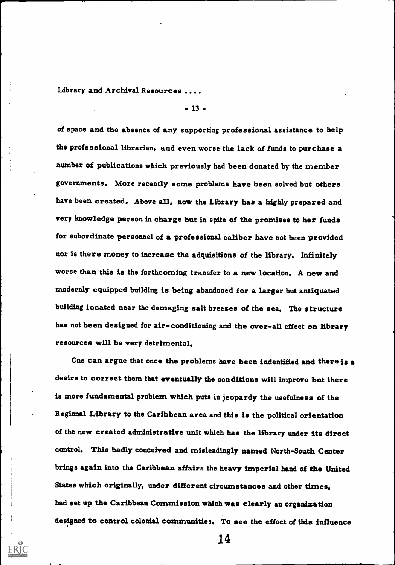- 13 -

of space and the absence of any supporting professional assistance to help the professional librarian, and even worse the lack of funds to purchase a number of publications which previously had been donated by the member governments. More recently some problems have been solved but others have been created. Above all, now the Library has a highly prepared and very knowledge person in charge but in spite of the promises to her funds for subordinate personnel of a professional caliber have not been provided nor is there money to increase the adquisitions of the library. Infinitely worse than this is the forthcoming transfer to a new location. A new and modernly equipped building is being abandoned for a larger but antiquated building located near the damaging salt breezes of the sea. The structure has not been designed for air-conditioning and the over-all effect on library resources will be very detrimental.

One can argue that once the problems have been indentified and there is a desire to correct them that eventually the conditions will improve but there is more fundamental problem which puts in jeopardy the usefulness of the Regional Library to the Caribbean area and this is the political orientation of the new created administrative unit which has the library under its direct control. This badly conceived and misleadingly named North-South Center brings again into the Caribbean affairs the heavy imperial hand of the United States which originally, under difforent circumstances and other times, had set up the Caribbean Commission which was clearly an organization designed to control colonial communities. To see the effect of this influence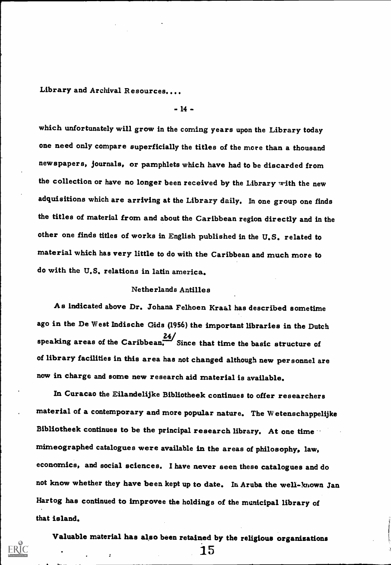- 14 -

which unfortunately will grow in the coming years upon the Library today one need only compare superficially the titles of the more than a thousand newspapers, journals, or pamphlets which have had to be discarded from the collection or have no longer been received by the Library with the new adquisitions which are arriving at the Library daily. In one group one finds the titles of material from and about the Caribbean region directly and in the other one finds titles of works in English published in the U.S. related to material which has very little to do with the Caribbean and much more to do with the U.S. relations in latin america.

#### Netherlands Antilles

As indicated above Dr. Johana Felhoen Kraal has described sometime ago in the De West Indische Gids (1956) the important libraries in the Dutch speaking areas of the Caribbean.  $\frac{24}{\sqrt{3}}$  Since that time the basic structure of of library facilities in this area has not changed although new personnel are now in charge and some new research aid material is available.

In Curacao the Eilandelijke Bibliotheek continues to offer researchers material of a contemporary and more popular nature. The Wetenschappelijke Bibliotheek continues to be the principal research library. At one time mimeographed catalogues were available in the areas of philosophy, law, economics, and social sciences. I have never seen these catalogues and do not know whether they have been kept up to date. In Aruba the well-known Jan Hartog has continued to improvee the holdings of the municipal library of that island.

Valuable material has also been retained by the religious organizations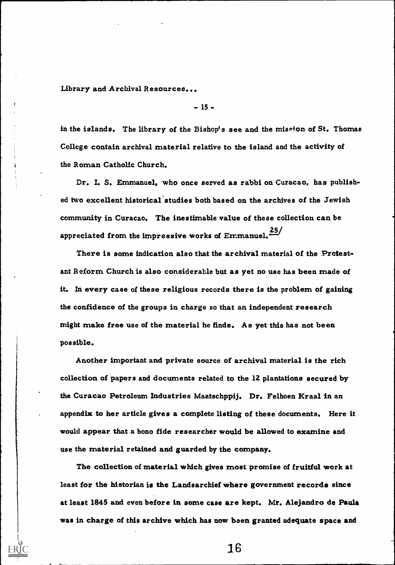$-15 -$ 

in the islands. The library of the Bishop's see and the miseion of St. Thomas College contain archival material relative to the island and the activity of the Roman Catholic Church.

Dr. I. S. Emmanuel, who once served as rabbi on Curacao, has published two excellent historical studies both based on the archives of the Jewish community in Curacao. The inestimable value of these collection can be appreciated from the impressive works of Emmanuel.<sup>25/</sup>

There is some indication also that the archival material of the Protestant Reform Church is also considerable but as yet no use has been made of it. In every case of these religious records there is the problem of gaining the confidence of the groups in charge so that an independent research might make free use of the material he finds. As yet this has not been possible.

Another important and private source of archival material is the rich collection of papers and documents related to the 12 plantations secured by the Curacao Petroleum Industries Maatschppij. Dr. Felhoen Kraal in an appendix to her article gives a complete listing of these documents. Here it would appear that a bono fide researcher would be allowed to examine and use the material retained and guarded by the company.

The collection of material which gives most promise of fruitful work at least for the historian is the Landsarchief where government records since at least 1845 and even before in some case are kept. Mr. Alejandro de Paula was in charge of this archive which has now been granted adequate space and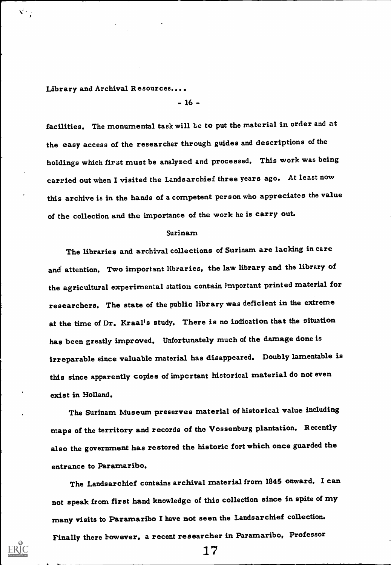- 16 -

facilities. The monumental task will be to put the material in order and at the easy access of the researcher through guides and descriptions of the holdings which first must be analyzed and processed. This work was being carried out when I visited the Landsarchief three years ago. At least now this archive is in the hands of a competent person who appreciates the value of the collection and the importance of the work he is carry out.

## Surinam

The libraries and archival collections of Surinam are lacking in care and' attention, Two important libraries, the law library and the library of the agricultural experimental station contain important printed material for researchers. The state of the public library was deficient in the extreme at the time of Dr. Kraal's study, There is no indication that the situation has been greatly improved. Unfortunately much of the damage done is irreparable since valuable material has disappeared. Doubly lamentable is this since apparently copies of important historical material do not even exist in Holland.

The Surinam Museum preserves material of historical value including maps of the territory and records of the Vossenburg plantation. Recently also the government has restored the historic fort which once guarded the entrance to Paramaribo.

The Landsarchief contains archival material from 1845 onward. I can not speak from first hand knowledge of this collection since in spite of my many visits to Paramaribo I have not seen the Landsarchief collection. Finally there however, a recent researcher in Paramaribo, Professor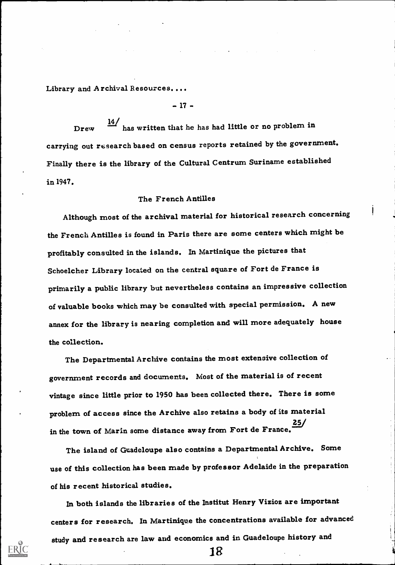- 17 -

Drew  $\frac{14}{1}$  has written that he has had little or no problem in carrying out research based on census reports retained by the government. Finally there is the library of the Cultural Centrum Suriname established in 1947.

## The French Antilles

Although most of the archival material for historical research concerning the French Antilles is found in Paris there are some centers which might be profitably consulted in the islands. In Martinique the pictures that Schoelcher Library located on the central square of Fort de France is primarily a public library but nevertheless contains an impressive collection of valuable books which may be consulted with special permission. A new annex for the library is nearing completion and will more adequately house the collection.

The Departmental Archive contains the most extensive collection of government records and documents. Most of the material is of recent vintage since little prior to 1950 has been collected there. There is some problem of access since the Archive also retains a body of its material in the town of Marin some distance away from Fort de France. 25/

The island of Guadeloupe also contains a Departmental Archive. Some use of this collection has been made by professor Adelaide in the preparation of his recent historical studies.

In both islands the libraries of the Institut Henry Vizioz are important centers for research. In Martinique the concentrations available for advanced study and research are law and economics and in Guadeloupe history and

IR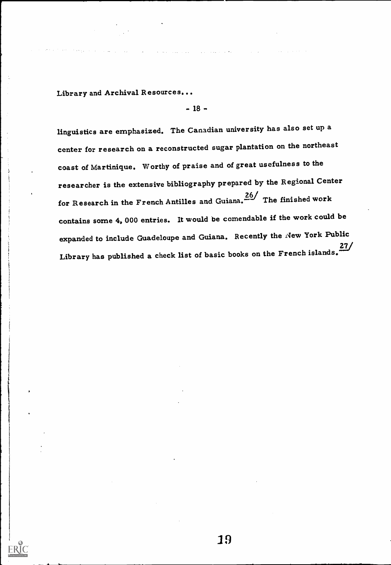- 18 -

linguistics are emphasized, The Canadian university has also set up a center for research on a reconstructed sugar plantation on the northeast coast of Martinique. Worthy of praise and of great usefulness to the researcher is the extensive bibliography prepared by the Regional Center for Research in the French Antilles and Guiana.<sup>26/</sup> The finished work contains some 4, 000 entries. It would be comendable if the work could be expanded to include Guadeloupe and Guiana. Recently the New York Public  $27/$ Library has published a check list of basic books on the French islands.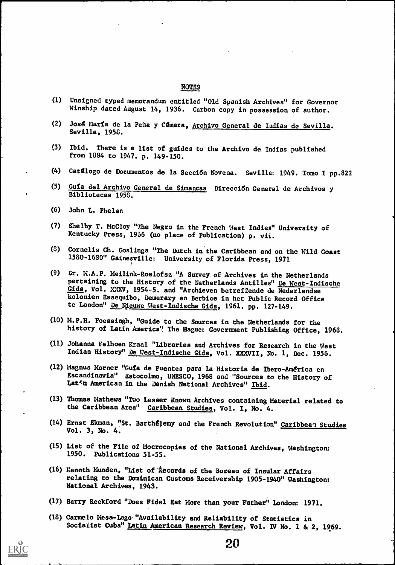#### NOTES

- (1) Unsigned typed memorandum entitled "Old Spanish Archives" for Governor Winship dated August 14, 1936. Carbon copy in possession of author.
- (2) Josg Marfa de la Pefia y Cgmara, Archivo General de Indias de Sevilla. Sevilla, 1958.
- (3) Ibid. There is a list of guides to the Archivo de Indias published from 1384 to 1947. p. 149-150.
- (4) Catdlogo de Documentos de la Seccidn Novena. Sevilla: 1949. Tomo I pp.822
- (5) Gufa del Archivo General de Simancas Direcci6n General de Archivos y Bibliotecas 1958.
- (6) John L. Phelan
- (7) Shelby T. McCloy "The Negro in the French West Indies" University of Kentucky Press, 1966 (no place of Publication) p. vii.
- (8) Cornelis Ch. Goslings "The Dutch in the Caribbean and on the Wild Coast 1580-1680" Gainesville: University of Florida Press, 1971
- (9) Dr. M.A.P. Meilink-Roelofsz "A Survey of Archives in the Netherlands pertaining to the History of the Netherlands Antilles" De West-Indische Gids, Vol. XXXV, 1954-5. and "Archieven betreffende de Nederlandse kolonien Essequibo, Demerary en Berbice in het Public Record Office te London" De Nieuwe West-Indische Gids, 1961. pp. 127-149.
- (10) M.P.H. Poessingh, "Guide to the Sources in the Netherlands for the history of Latin America" The Hague: Government Publishing Office, 1963.
- (11) Johanna Felhoen Kraal "Libraries and Archives for Research in the West Indian History" De West-Indische Gids, Vol. XXXVII, No. 1, Dec. 1956.
- (12) Magnus Horner "Guts de Fuentes para la Historia de Ibero-Amdrica en Escandinavia" Estocolmo, UNESCO, 1968 and "Sources to the History of Lat'n American in the Danish National Archives" Ibid.
- (13) Thomas Mathews "Two Lesser Known Archives containing Material related to the Caribbean Area" Caribbean Studies, Vol. I, No. 4.
- (14) Ernst Ekman, "St. Barthélemy and the French Revolution" Caribbean Studies Vol. 3, No. 4.
- (15) List of the File of Mocrocopies of the National Archives, Washington: 1950. Publications 51-55.
- (16) Kennth Munden, "List of *Records of the Bureau of Insular Affairs* relating to the Daninican Customs Receivership 1905-1940" Washington: National Archives, 1943.
- (17) Barry Reckford "Does Fidel Eat More than your Father" London: 1971.
- (18) Carmelo Mesa-lagd."Availability and Reliability of Statistics in Socialist Cuba" Latin American Research Review, Vol. Iv No. 1 & 2, 1969.